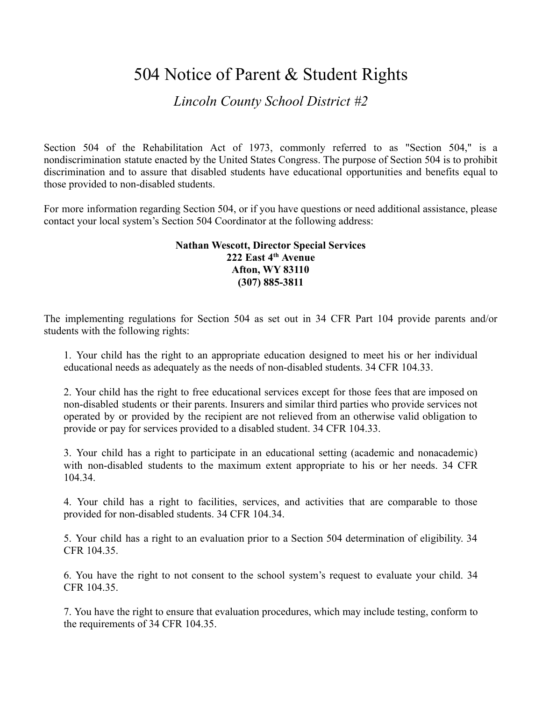## 504 Notice of Parent & Student Rights

## *Lincoln County School District #2*

Section 504 of the Rehabilitation Act of 1973, commonly referred to as "Section 504," is a nondiscrimination statute enacted by the United States Congress. The purpose of Section 504 is to prohibit discrimination and to assure that disabled students have educational opportunities and benefits equal to those provided to non-disabled students.

For more information regarding Section 504, or if you have questions or need additional assistance, please contact your local system's Section 504 Coordinator at the following address:

## **Nathan Wescott, Director Special Services 222 East 4th Avenue Afton, WY 83110 (307) 885-3811**

The implementing regulations for Section 504 as set out in 34 CFR Part 104 provide parents and/or students with the following rights:

1. Your child has the right to an appropriate education designed to meet his or her individual educational needs as adequately as the needs of non-disabled students. 34 CFR 104.33.

2. Your child has the right to free educational services except for those fees that are imposed on non-disabled students or their parents. Insurers and similar third parties who provide services not operated by or provided by the recipient are not relieved from an otherwise valid obligation to provide or pay for services provided to a disabled student. 34 CFR 104.33.

3. Your child has a right to participate in an educational setting (academic and nonacademic) with non-disabled students to the maximum extent appropriate to his or her needs. 34 CFR 104.34.

4. Your child has a right to facilities, services, and activities that are comparable to those provided for non-disabled students. 34 CFR 104.34.

5. Your child has a right to an evaluation prior to a Section 504 determination of eligibility. 34 CFR 104.35.

6. You have the right to not consent to the school system's request to evaluate your child. 34 CFR 104.35.

7. You have the right to ensure that evaluation procedures, which may include testing, conform to the requirements of 34 CFR 104.35.